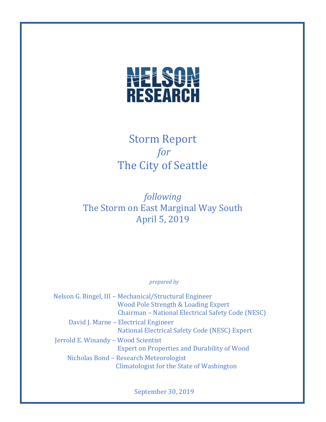

# Storm Report *for*  The City of Seattle

*following* The Storm on East Marginal Way South April 5, 2019

*prepared by*

Nelson G. Bingel, III – Mechanical/Structural Engineer Wood Pole Strength & Loading Expert Chairman – National Electrical Safety Code (NESC) David J. Marne – Electrical Engineer National Electrical Safety Code (NESC) Expert Jerrold E. Winandy – Wood Scientist Expert on Properties and Durability of Wood Nicholas Bond – Research Meteorologist Climatologist for the State of Washington

September 30, 2019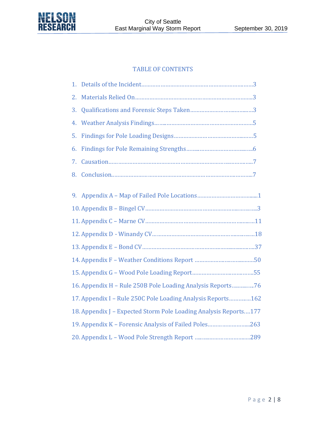

## TABLE OF CONTENTS

| 1. |                                                                  |
|----|------------------------------------------------------------------|
| 2. |                                                                  |
| 3. |                                                                  |
| 4. |                                                                  |
| 5. |                                                                  |
| 6. |                                                                  |
| 7. |                                                                  |
| 8. |                                                                  |
|    |                                                                  |
| 9. |                                                                  |
|    |                                                                  |
|    |                                                                  |
|    |                                                                  |
|    |                                                                  |
|    |                                                                  |
|    |                                                                  |
|    | 16. Appendix H - Rule 250B Pole Loading Analysis Reports76       |
|    | 17. Appendix I - Rule 250C Pole Loading Analysis Reports162      |
|    | 18. Appendix J - Expected Storm Pole Loading Analysis Reports177 |
|    | 19. Appendix K - Forensic Analysis of Failed Poles263            |
|    |                                                                  |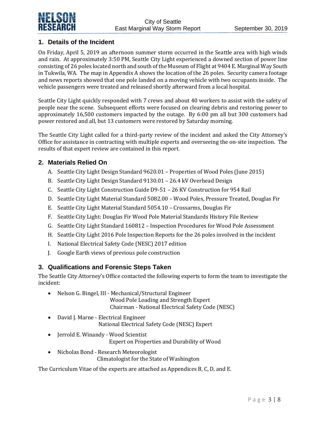# **1. Details of the Incident**

On Friday, April 5, 2019 an afternoon summer storm occurred in the Seattle area with high winds and rain. At approximately 3:50 PM, Seattle City Light experienced a downed section of power line consisting of 26 poles located north and south of the Museum of Flight at 9404 E. Marginal Way South in Tukwila, WA. The map in Appendix A shows the location of the 26 poles. Security camera footage and news reports showed that one pole landed on a moving vehicle with two occupants inside. The vehicle passengers were treated and released shortly afterward from a local hospital.

Seattle City Light quickly responded with 7 crews and about 40 workers to assist with the safety of people near the scene. Subsequent efforts were focused on clearing debris and restoring power to approximately 16,500 customers impacted by the outage. By 6:00 pm all but 300 customers had power restored and all, but 13 customers were restored by Saturday morning.

The Seattle City Light called for a third-party review of the incident and asked the City Attorney's Office for assistance in contracting with multiple experts and overseeing the on-site inspection. The results of that expert review are contained in this report.

# **2. Materials Relied On**

- A. Seattle City Light Design Standard 9620.01 Properties of Wood Poles (June 2015)
- B. Seattle City Light Design Standard 9130.01 26.4 kV Overhead Design
- C. Seattle City Light Construction Guide D9-51 26 KV Construction for 954 Rail
- D. Seattle City Light Material Standard 5082.00 Wood Poles, Pressure Treated, Douglas Fir
- E. Seattle City Light Material Standard 5054.10 Crossarms, Douglas Fir
- F. Seattle City Light: Douglas Fir Wood Pole Material Standards History File Review
- G. Seattle City Light Standard 160812 Inspection Procedures for Wood Pole Assessment
- H. Seattle City Light 2016 Pole Inspection Reports for the 26 poles involved in the incident
- I. National Electrical Safety Code (NESC) 2017 edition
- J. Google Earth views of previous pole construction

#### **3. Qualifications and Forensic Steps Taken**

The Seattle City Attorney's Office contacted the following experts to form the team to investigate the incident:

- Nelson G. Bingel, III Mechanical/Structural Engineer Wood Pole Loading and Strength Expert Chairman - National Electrical Safety Code (NESC)
- David J. Marne Electrical Engineer National Electrical Safety Code (NESC) Expert
- Jerrold E. Winandy Wood Scientist Expert on Properties and Durability of Wood
- Nicholas Bond Research Meteorologist Climatologist for the State of Washington

The Curriculum Vitae of the experts are attached as Appendices B, C, D, and E.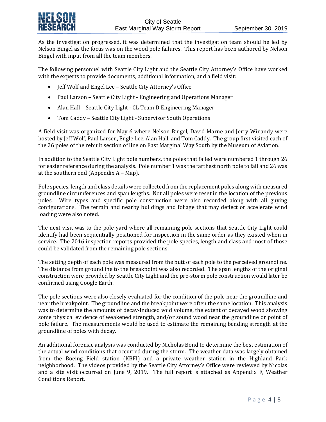As the investigation progressed, it was determined that the investigation team should be led by Nelson Bingel as the focus was on the wood pole failures. This report has been authored by Nelson Bingel with input from all the team members.

The following personnel with Seattle City Light and the Seattle City Attorney's Office have worked with the experts to provide documents, additional information, and a field visit:

- Jeff Wolf and Engel Lee Seattle City Attorney's Office
- Paul Larson Seattle City Light Engineering and Operations Manager
- Alan Hall Seattle City Light CL Team D Engineering Manager
- Tom Caddy Seattle City Light Supervisor South Operations

A field visit was organized for May 6 where Nelson Bingel, David Marne and Jerry Winandy were hosted by Jeff Wolf, Paul Larsen, Engle Lee, Alan Hall, and Tom Caddy. The group first visited each of the 26 poles of the rebuilt section of line on East Marginal Way South by the Museum of Aviation.

In addition to the Seattle City Light pole numbers, the poles that failed were numbered 1 through 26 for easier reference during the analysis. Pole number 1 was the farthest north pole to fail and 26 was at the southern end (Appendix A – Map).

Pole species, length and class details were collected from the replacement poles along with measured groundline circumferences and span lengths. Not all poles were reset in the location of the previous poles. Wire types and specific pole construction were also recorded along with all guying configurations. The terrain and nearby buildings and foliage that may deflect or accelerate wind loading were also noted.

The next visit was to the pole yard where all remaining pole sections that Seattle City Light could identify had been sequentially positioned for inspection in the same order as they existed when in service. The 2016 inspection reports provided the pole species, length and class and most of those could be validated from the remaining pole sections.

The setting depth of each pole was measured from the butt of each pole to the perceived groundline. The distance from groundline to the breakpoint was also recorded. The span lengths of the original construction were provided by Seattle City Light and the pre-storm pole construction would later be confirmed using Google Earth.

The pole sections were also closely evaluated for the condition of the pole near the groundline and near the breakpoint. The groundline and the breakpoint were often the same location. This analysis was to determine the amounts of decay-induced void volume, the extent of decayed wood showing some physical evidence of weakened strength, and/or sound wood near the groundline or point of pole failure. The measurements would be used to estimate the remaining bending strength at the groundline of poles with decay.

An additional forensic analysis was conducted by Nicholas Bond to determine the best estimation of the actual wind conditions that occurred during the storm. The weather data was largely obtained from the Boeing Field station (KBFI) and a private weather station in the Highland Park neighborhood. The videos provided by the Seattle City Attorney's Office were reviewed by Nicolas and a site visit occurred on June 9, 2019. The full report is attached as Appendix F, Weather Conditions Report.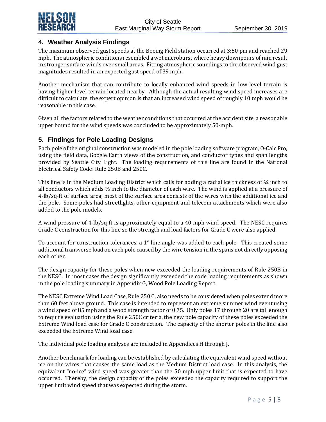

# **4. Weather Analysis Findings**

The maximum observed gust speeds at the Boeing Field station occurred at 3:50 pm and reached 29 mph. The atmospheric conditions resembled a wet microburst where heavy downpours of rain result in stronger surface winds over small areas. Fitting atmospheric soundings to the observed wind gust magnitudes resulted in an expected gust speed of 39 mph.

Another mechanism that can contribute to locally enhanced wind speeds in low-level terrain is having higher-level terrain located nearby. Although the actual resulting wind speed increases are difficult to calculate, the expert opinion is that an increased wind speed of roughly 10 mph would be reasonable in this case.

Given all the factors related to the weather conditions that occurred at the accident site, a reasonable upper bound for the wind speeds was concluded to be approximately 50-mph.

# **5. Findings for Pole Loading Designs**

Each pole of the original construction was modeled in the pole loading software program, O-Calc Pro, using the field data, Google Earth views of the construction, and conductor types and span lengths provided by Seattle City Light. The loading requirements of this line are found in the National Electrical Safety Code: Rule 250B and 250C.

This line is in the Medium Loading District which calls for adding a radial ice thickness of ¼ inch to all conductors which adds ½ inch to the diameter of each wire. The wind is applied at a pressure of 4-lb/sq-ft of surface area; most of the surface area consists of the wires with the additional ice and the pole. Some poles had streetlights, other equipment and telecom attachments which were also added to the pole models.

A wind pressure of 4-lb/sq-ft is approximately equal to a 40 mph wind speed. The NESC requires Grade C construction for this line so the strength and load factors for Grade C were also applied.

To account for construction tolerances, a 1° line angle was added to each pole. This created some additional transverse load on each pole caused by the wire tension in the spans not directly opposing each other.

The design capacity for these poles when new exceeded the loading requirements of Rule 250B in the NESC. In most cases the design significantly exceeded the code loading requirements as shown in the pole loading summary in Appendix G, Wood Pole Loading Report.

The NESC Extreme Wind Load Case, Rule 250 C, also needs to be considered when poles extend more than 60 feet above ground. This case is intended to represent an extreme summer wind event using a wind speed of 85 mph and a wood strength factor of 0.75. Only poles 17 through 20 are tall enough to require evaluation using the Rule 250C criteria. the new pole capacity of these poles exceeded the Extreme Wind load case for Grade C construction. The capacity of the shorter poles in the line also exceeded the Extreme Wind load case.

The individual pole loading analyses are included in Appendices H through J.

Another benchmark for loading can be established by calculating the equivalent wind speed without ice on the wires that causes the same load as the Medium District load case. In this analysis, the equivalent "no-ice" wind speed was greater than the 50 mph upper limit that is expected to have occurred. Thereby, the design capacity of the poles exceeded the capacity required to support the upper limit wind speed that was expected during the storm.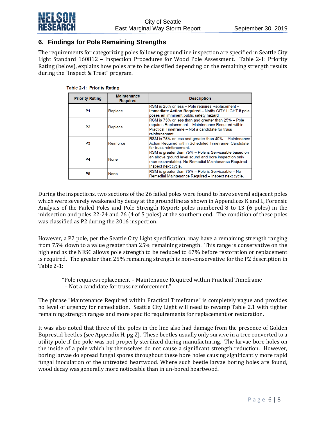

## **6. Findings for Pole Remaining Strengths**

The requirements for categorizing poles following groundline inspection are specified in Seattle City Light Standard 160812 – Inspection Procedures for Wood Pole Assessment. Table 2-1: Priority Rating (below), explains how poles are to be classified depending on the remaining strength results during the "Inspect & Treat" program.

| <b>Priority Rating</b> | <b>Maintenance</b><br><b>Required</b> | <b>Description</b>                                                                                                                                                                             |
|------------------------|---------------------------------------|------------------------------------------------------------------------------------------------------------------------------------------------------------------------------------------------|
| P1                     | Replace                               | RSM is 25% or less - Pole requires Replacement -<br><b>Immediate Action Required - Notify CITY LIGHT if pole</b><br>poses an imminent public safety hazard                                     |
| P2                     | Replace                               | RSM is 75% or less than and greater than 25% - Pole<br>requires Replacement - Maintenance Required within<br>Practical Timeframe - Not a candidate for truss<br>reinforcement.                 |
| P3                     | Reinforce                             | RSM is 75% or less and greater than 40% - Maintenance<br>Action Required within Scheduled Timeframe. Candidate<br>for truss reinforcement.                                                     |
| P4                     | None                                  | RSM is greater than 75% - Pole is Serviceable based on<br>an above ground level sound and bore inspection only<br>(non-excavatable). No Remedial Maintenance Required -<br>Inspect next cycle. |
| P5                     | None                                  | RSM is greater than 75% - Pole is Serviceable - No<br>Remedial Maintenance Required - Inspect next cycle.                                                                                      |

#### Table 2-1: Priority Rating

During the inspections, two sections of the 26 failed poles were found to have several adjacent poles which were severely weakened by decay at the groundline as shown in Appendices K and L, Forensic Analysis of the Failed Poles and Pole Strength Report; poles numbered 8 to 13 (6 poles) in the midsection and poles 22-24 and 26 (4 of 5 poles) at the southern end. The condition of these poles was classified as P2 during the 2016 inspection.

However, a P2 pole, per the Seattle City Light specification, may have a remaining strength ranging from 75% down to a value greater than 25% remaining strength. This range is conservative on the high end as the NESC allows pole strength to be reduced to 67% before restoration or replacement is required. The greater than 25% remaining strength is non-conservative for the P2 description in Table 2-1:

"Pole requires replacement – Maintenance Required within Practical Timeframe

– Not a candidate for truss reinforcement."

The phrase "Maintenance Required within Practical Timeframe" is completely vague and provides no level of urgency for remediation. Seattle City Light will need to revamp Table 2.1 with tighter remaining strength ranges and more specific requirements for replacement or restoration.

It was also noted that three of the poles in the line also had damage from the presence of Golden Buprestid beetles (see Appendix H, pg 2). These beetles usually only survive in a tree converted to a utility pole if the pole was not properly sterilized during manufacturing. The larvae bore holes on the inside of a pole which by themselves do not cause a significant strength reduction. However, boring larvae do spread fungal spores throughout these bore holes causing significantly more rapid fungal inoculation of the untreated heartwood. Where such beetle larvae boring holes are found, wood decay was generally more noticeable than in un-bored heartwood.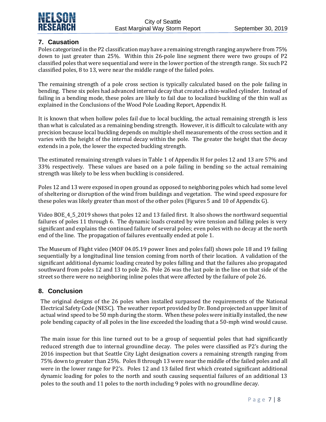

# **7. Causation**

Poles categorized in the P2 classification may have a remaining strength ranging anywhere from 75% down to just greater than 25%. Within this 26-pole line segment there were two groups of P2 classified poles that were sequential and were in the lower portion of the strength range. Six such P2 classified poles, 8 to 13, were near the middle range of the failed poles.

The remaining strength of a pole cross section is typically calculated based on the pole failing in bending. These six poles had advanced internal decay that created a thin-walled cylinder. Instead of failing in a bending mode, these poles are likely to fail due to localized buckling of the thin wall as explained in the Conclusions of the Wood Pole Loading Report, Appendix H.

It is known that when hollow poles fail due to local buckling, the actual remaining strength is less than what is calculated as a remaining bending strength. However, it is difficult to calculate with any precision because local buckling depends on multiple shell measurements of the cross section and it varies with the height of the internal decay within the pole. The greater the height that the decay extends in a pole, the lower the expected buckling strength.

The estimated remaining strength values in Table 1 of Appendix H for poles 12 and 13 are 57% and 33% respectively. These values are based on a pole failing in bending so the actual remaining strength was likely to be less when buckling is considered.

Poles 12 and 13 were exposed in open ground as opposed to neighboring poles which had some level of sheltering or disruption of the wind from buildings and vegetation. The wind speed exposure for these poles was likely greater than most of the other poles (Figures 5 and 10 of Appendix G).

Video BOE 4 5 2019 shows that poles 12 and 13 failed first. It also shows the northward sequential failures of poles 11 through 6. The dynamic loads created by wire tension and falling poles is very significant and explains the continued failure of several poles; even poles with no decay at the north end of the line. The propagation of failures eventually ended at pole 1.

The Museum of Flight video (MOF 04.05.19 power lines and poles fall) shows pole 18 and 19 failing sequentially by a longitudinal line tension coming from north of their location. A validation of the significant additional dynamic loading created by poles falling and that the failures also propagated southward from poles 12 and 13 to pole 26. Pole 26 was the last pole in the line on that side of the street so there were no neighboring inline poles that were affected by the failure of pole 26.

#### **8. Conclusion**

The original designs of the 26 poles when installed surpassed the requirements of the National Electrical Safety Code (NESC). The weather report provided by Dr. Bond projected an upper limit of actual wind speed to be 50 mph during the storm. When these poles were initially installed, the new pole bending capacity of all poles in the line exceeded the loading that a 50-mph wind would cause.

The main issue for this line turned out to be a group of sequential poles that had significantly reduced strength due to internal groundline decay. The poles were classified as P2's during the 2016 inspection but that Seattle City Light designation covers a remaining strength ranging from 75% down to greater than 25%. Poles 8 through 13 were near the middle of the failed poles and all were in the lower range for P2's. Poles 12 and 13 failed first which created significant additional dynamic loading for poles to the north and south causing sequential failures of an additional 13 poles to the south and 11 poles to the north including 9 poles with no groundline decay.